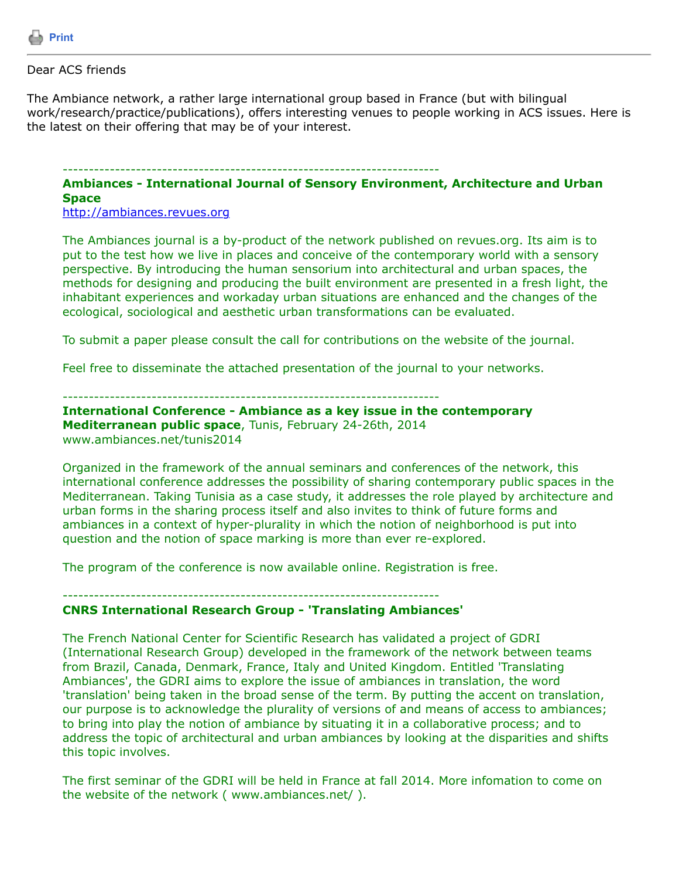

## Dear ACS friends

The Ambiance network, a rather large international group based in France (but with bilingual work/research/practice/publications), offers interesting venues to people working in ACS issues. Here is the latest on their offering that may be of your interest.

## ------------------------------------------------------------------------

## **Ambiances - International Journal of Sensory Environment, Architecture and Urban Space**

[http://ambiances.revues.org](http://ambiances.revues.org/)

The Ambiances journal is a by-product of the network published on revues.org. Its aim is to put to the test how we live in places and conceive of the contemporary world with a sensory perspective. By introducing the human sensorium into architectural and urban spaces, the methods for designing and producing the built environment are presented in a fresh light, the inhabitant experiences and workaday urban situations are enhanced and the changes of the ecological, sociological and aesthetic urban transformations can be evaluated.

To submit a paper please consult the call for contributions on the website of the journal.

Feel free to disseminate the attached presentation of the journal to your networks.

------------------------------------------------------------------------

**International Conference - Ambiance as a key issue in the contemporary Mediterranean public space**, Tunis, February 24-26th, 2014 www.ambiances.net/tunis2014

Organized in the framework of the annual seminars and conferences of the network, this international conference addresses the possibility of sharing contemporary public spaces in the Mediterranean. Taking Tunisia as a case study, it addresses the role played by architecture and urban forms in the sharing process itself and also invites to think of future forms and ambiances in a context of hyper-plurality in which the notion of neighborhood is put into question and the notion of space marking is more than ever re-explored.

The program of the conference is now available online. Registration is free.

## ------------------------------------------------------------------------ **CNRS International Research Group - 'Translating Ambiances'**

The French National Center for Scientific Research has validated a project of GDRI (International Research Group) developed in the framework of the network between teams from Brazil, Canada, Denmark, France, Italy and United Kingdom. Entitled 'Translating Ambiances', the GDRI aims to explore the issue of ambiances in translation, the word 'translation' being taken in the broad sense of the term. By putting the accent on translation, our purpose is to acknowledge the plurality of versions of and means of access to ambiances; to bring into play the notion of ambiance by situating it in a collaborative process; and to address the topic of architectural and urban ambiances by looking at the disparities and shifts this topic involves.

The first seminar of the GDRI will be held in France at fall 2014. More infomation to come on the website of the network ( www.ambiances.net/ ).